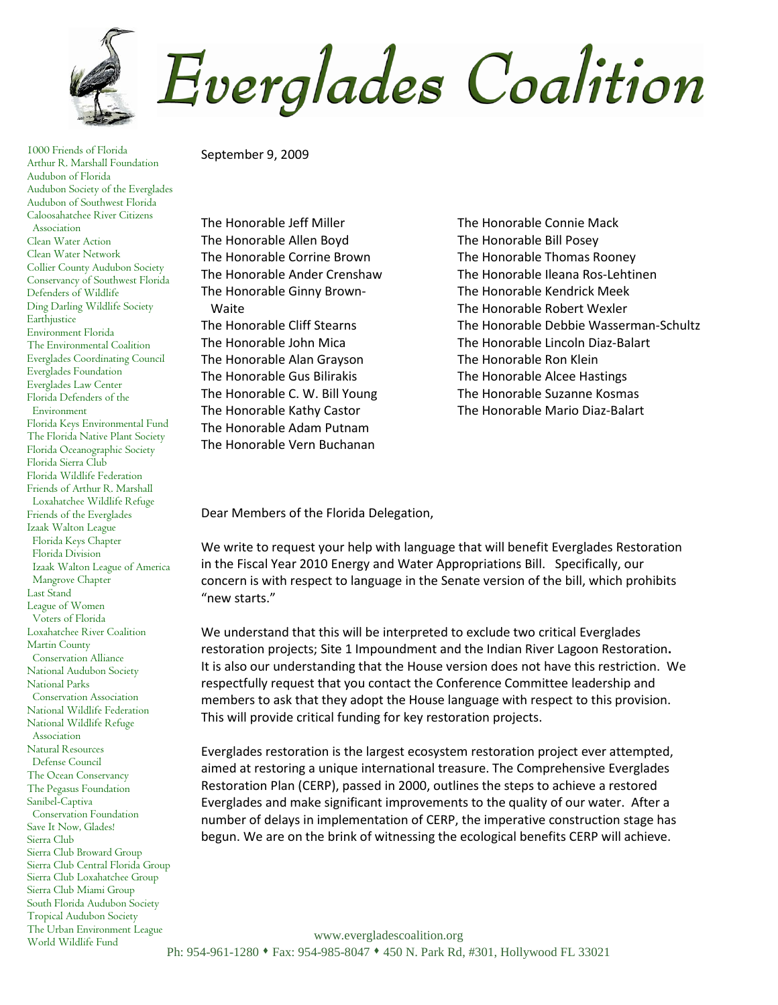Everglades Coalition

1000 Friends of Florida Arthur R. Marshall Foundation Audubon of Florida Audubon Society of the Everglades Audubon of Southwest Florida Caloosahatchee River Citizens Association Clean Water Action Clean Water Network Collier County Audubon Society Conservancy of Southwest Florida Defenders of Wildlife Ding Darling Wildlife Society Earthjustice Environment Florida The Environmental Coalition Everglades Coordinating Council Everglades Foundation Everglades Law Center Florida Defenders of the Environment Florida Keys Environmental Fund The Florida Native Plant Society Florida Oceanographic Society Florida Sierra Club Florida Wildlife Federation Friends of Arthur R. Marshall Loxahatchee Wildlife Refuge Friends of the Everglades Izaak Walton League Florida Keys Chapter Florida Division Izaak Walton League of America Mangrove Chapter Last Stand League of Women Voters of Florida Loxahatchee River Coalition Martin County Conservation Alliance National Audubon Society National Parks Conservation Association National Wildlife Federation National Wildlife Refuge Association Natural Resources Defense Council The Ocean Conservancy The Pegasus Foundation Sanibel-Captiva Conservation Foundation Save It Now, Glades! Sierra Club Sierra Club Broward Group Sierra Club Central Florida Group Sierra Club Loxahatchee Group Sierra Club Miami Group South Florida Audubon Society Tropical Audubon Society The Urban Environment League World Wildlife Fund

September 9, 2009

The Honorable Jeff Miller The Honorable Allen Boyd The Honorable Corrine Brown The Honorable Ander Crenshaw The Honorable Ginny Brown- Waite The Honorable Cliff Stearns The Honorable John Mica The Honorable Alan Grayson The Honorable Gus Bilirakis The Honorable C. W. Bill Young The Honorable Kathy Castor The Honorable Adam Putnam The Honorable Vern Buchanan

The Honorable Connie Mack The Honorable Bill Posey The Honorable Thomas Rooney The Honorable Ileana Ros-Lehtinen The Honorable Kendrick Meek The Honorable Robert Wexler The Honorable Debbie Wasserman-Schultz The Honorable Lincoln Diaz-Balart The Honorable Ron Klein The Honorable Alcee Hastings The Honorable Suzanne Kosmas The Honorable Mario Diaz-Balart

Dear Members of the Florida Delegation,

We write to request your help with language that will benefit Everglades Restoration in the Fiscal Year 2010 Energy and Water Appropriations Bill. Specifically, our concern is with respect to language in the Senate version of the bill, which prohibits "new starts."

We understand that this will be interpreted to exclude two critical Everglades restoration projects; Site 1 Impoundment and the Indian River Lagoon Restoration**.**  It is also our understanding that the House version does not have this restriction. We respectfully request that you contact the Conference Committee leadership and members to ask that they adopt the House language with respect to this provision. This will provide critical funding for key restoration projects.

Everglades restoration is the largest ecosystem restoration project ever attempted, aimed at restoring a unique international treasure. The Comprehensive Everglades Restoration Plan (CERP), passed in 2000, outlines the steps to achieve a restored Everglades and make significant improvements to the quality of our water. After a number of delays in implementation of CERP, the imperative construction stage has begun. We are on the brink of witnessing the ecological benefits CERP will achieve.